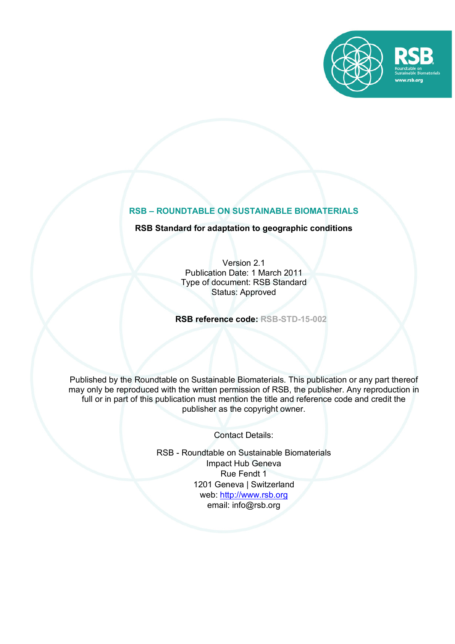

# **RSB – ROUNDTABLE ON SUSTAINABLE BIOMATERIALS**

## **RSB Standard for adaptation to geographic conditions**

Version 2.1 Publication Date: 1 March 2011 Type of document: RSB Standard Status: Approved

**RSB reference code: RSB-STD-15-002**

Published by the Roundtable on Sustainable Biomaterials. This publication or any part thereof may only be reproduced with the written permission of RSB, the publisher. Any reproduction in full or in part of this publication must mention the title and reference code and credit the publisher as the copyright owner.

Contact Details:

RSB - Roundtable on Sustainable Biomaterials Impact Hub Geneva Rue Fendt 1 1201 Geneva | Switzerland web: http://www.rsb.org email: info@rsb.org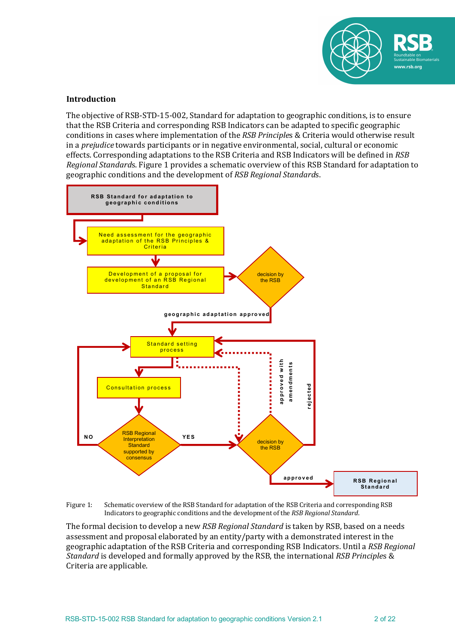

### **Introduction**

The objective of RSB-STD-15-002, Standard for adaptation to geographic conditions, is to ensure that the RSB Criteria and corresponding RSB Indicators can be adapted to specific geographic conditions in cases where implementation of the *RSB Principles* & Criteria would otherwise result in a *prejudice* towards participants or in negative environmental, social, cultural or economic effects. Corresponding adaptations to the RSB Criteria and RSB Indicators will be defined in *RSB Regional Standards*. Figure 1 provides a schematic overview of this RSB Standard for adaptation to geographic conditions and the development of *RSB Regional Standards*.



Figure 1: Schematic overview of the RSB Standard for adaptation of the RSB Criteria and corresponding RSB Indicators to geographic conditions and the development of the *RSB Regional Standard*.

The formal decision to develop a new *RSB Regional Standard* is taken by RSB, based on a needs assessment and proposal elaborated by an entity/party with a demonstrated interest in the geographic adaptation of the RSB Criteria and corresponding RSB Indicators. Until a RSB Regional *Standard* is developed and formally approved by the RSB, the international *RSB Principles* & Criteria are applicable.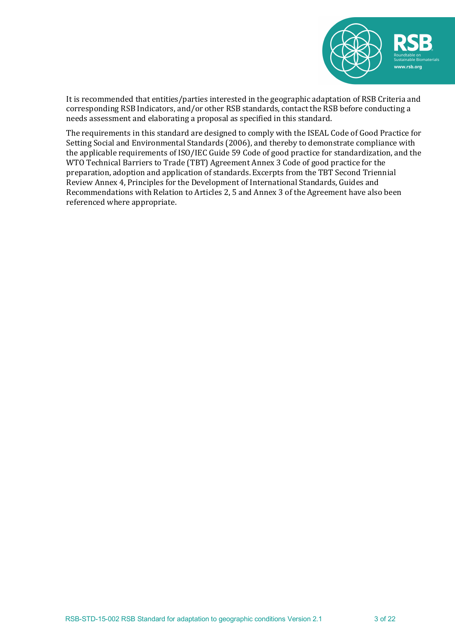

It is recommended that entities/parties interested in the geographic adaptation of RSB Criteria and corresponding RSB Indicators, and/or other RSB standards, contact the RSB before conducting a needs assessment and elaborating a proposal as specified in this standard.

The requirements in this standard are designed to comply with the ISEAL Code of Good Practice for Setting Social and Environmental Standards (2006), and thereby to demonstrate compliance with the applicable requirements of ISO/IEC Guide 59 Code of good practice for standardization, and the WTO Technical Barriers to Trade (TBT) Agreement Annex 3 Code of good practice for the preparation, adoption and application of standards. Excerpts from the TBT Second Triennial Review Annex 4, Principles for the Development of International Standards, Guides and Recommendations with Relation to Articles 2, 5 and Annex 3 of the Agreement have also been referenced where appropriate.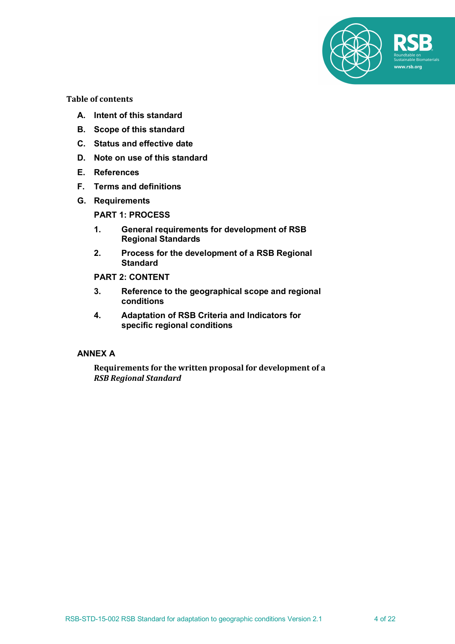

**Table of contents**

- **A. Intent of this standard**
- **B. Scope of this standard**
- **C. Status and effective date**
- **D. Note on use of this standard**
- **E. References**
- **F. Terms and definitions**
- **G. Requirements**

**PART 1: PROCESS**

- **1. General requirements for development of RSB Regional Standards**
- **2. Process for the development of a RSB Regional Standard**

**PART 2: CONTENT**

- **3. Reference to the geographical scope and regional conditions**
- **4. Adaptation of RSB Criteria and Indicators for specific regional conditions**

### **ANNEX A**

Requirements for the written proposal for development of a *RSB Regional Standard*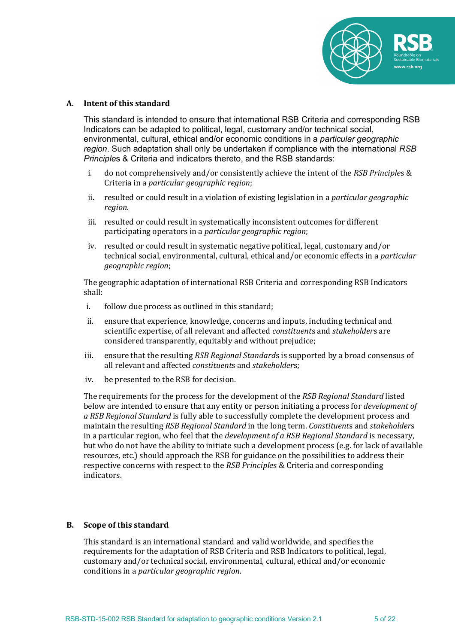

#### **A. Intent of this standard**

This standard is intended to ensure that international RSB Criteria and corresponding RSB Indicators can be adapted to political, legal, customary and/or technical social, environmental, cultural, ethical and/or economic conditions in a *particular geographic region*. Such adaptation shall only be undertaken if compliance with the international *RSB Principle*s & Criteria and indicators thereto, and the RSB standards:

- i. do not comprehensively and/or consistently achieve the intent of the *RSB Principles* & Criteria in a *particular geographic region*;
- ii. resulted or could result in a violation of existing legislation in a *particular geographic region*.
- iii. resulted or could result in systematically inconsistent outcomes for different participating operators in a *particular geographic region*;
- iv. resulted or could result in systematic negative political, legal, customary and/or technical social, environmental, cultural, ethical and/or economic effects in a *particular geographic region*;

The geographic adaptation of international RSB Criteria and corresponding RSB Indicators shall:

- i. follow due process as outlined in this standard;
- ii. ensure that experience, knowledge, concerns and inputs, including technical and scientific expertise, of all relevant and affected *constituents* and *stakeholders* are considered transparently, equitably and without prejudice;
- iii. ensure that the resulting *RSB Regional Standards* is supported by a broad consensus of all relevant and affected *constituents* and *stakeholders*:
- iv. be presented to the RSB for decision.

The requirements for the process for the development of the *RSB Regional Standard* listed below are intended to ensure that any entity or person initiating a process for *development of* a RSB Regional Standard is fully able to successfully complete the development process and maintain the resulting *RSB Regional Standard* in the long term. *Constituents* and *stakeholders* in a particular region, who feel that the *development of a RSB Regional Standard* is necessary, but who do not have the ability to initiate such a development process (e.g. for lack of available resources, etc.) should approach the RSB for guidance on the possibilities to address their respective concerns with respect to the *RSB Principles* & Criteria and corresponding indicators.

#### **B.** Scope of this standard

This standard is an international standard and valid worldwide, and specifies the requirements for the adaptation of RSB Criteria and RSB Indicators to political, legal, customary and/or technical social, environmental, cultural, ethical and/or economic conditions in a *particular geographic region*.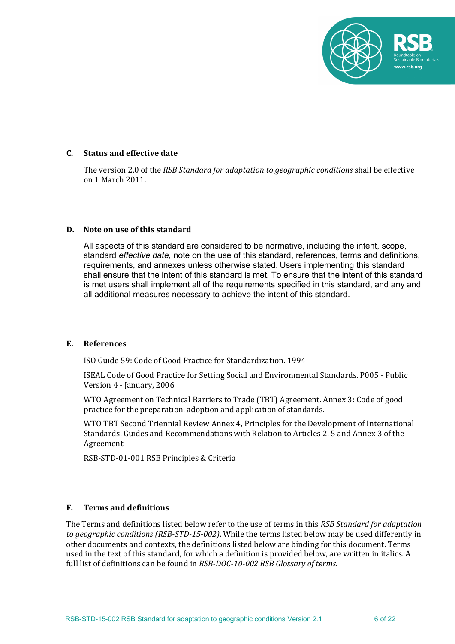

### **C. Status and effective date**

The version 2.0 of the *RSB Standard for adaptation to geographic conditions* shall be effective on 1 March 2011.

#### **D.** Note on use of this standard

All aspects of this standard are considered to be normative, including the intent, scope, standard *effective date*, note on the use of this standard, references, terms and definitions, requirements, and annexes unless otherwise stated. Users implementing this standard shall ensure that the intent of this standard is met. To ensure that the intent of this standard is met users shall implement all of the requirements specified in this standard, and any and all additional measures necessary to achieve the intent of this standard.

#### **E. References**

ISO Guide 59: Code of Good Practice for Standardization. 1994 

ISEAL Code of Good Practice for Setting Social and Environmental Standards. P005 - Public Version 4 - January, 2006

WTO Agreement on Technical Barriers to Trade (TBT) Agreement. Annex 3: Code of good practice for the preparation, adoption and application of standards.

WTO TBT Second Triennial Review Annex 4, Principles for the Development of International Standards, Guides and Recommendations with Relation to Articles 2, 5 and Annex 3 of the Agreement

RSB-STD-01-001 RSB Principles & Criteria

## **F. Terms and definitions**

The Terms and definitions listed below refer to the use of terms in this *RSB Standard for adaptation* to geographic conditions (RSB-STD-15-002). While the terms listed below may be used differently in other documents and contexts, the definitions listed below are binding for this document. Terms used in the text of this standard, for which a definition is provided below, are written in italics. A full list of definitions can be found in *RSB-DOC-10-002 RSB Glossary of terms*.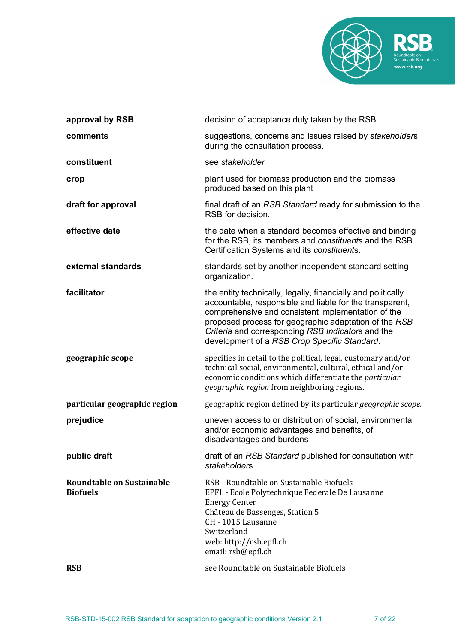

| approval by RSB                              | decision of acceptance duly taken by the RSB.                                                                                                                                                                                                                                                                                                |
|----------------------------------------------|----------------------------------------------------------------------------------------------------------------------------------------------------------------------------------------------------------------------------------------------------------------------------------------------------------------------------------------------|
| comments                                     | suggestions, concerns and issues raised by stakeholders<br>during the consultation process.                                                                                                                                                                                                                                                  |
| constituent                                  | see stakeholder                                                                                                                                                                                                                                                                                                                              |
| crop                                         | plant used for biomass production and the biomass<br>produced based on this plant                                                                                                                                                                                                                                                            |
| draft for approval                           | final draft of an RSB Standard ready for submission to the<br>RSB for decision.                                                                                                                                                                                                                                                              |
| effective date                               | the date when a standard becomes effective and binding<br>for the RSB, its members and constituents and the RSB<br>Certification Systems and its constituents.                                                                                                                                                                               |
| external standards                           | standards set by another independent standard setting<br>organization.                                                                                                                                                                                                                                                                       |
| facilitator                                  | the entity technically, legally, financially and politically<br>accountable, responsible and liable for the transparent,<br>comprehensive and consistent implementation of the<br>proposed process for geographic adaptation of the RSB<br>Criteria and corresponding RSB Indicators and the<br>development of a RSB Crop Specific Standard. |
| geographic scope                             | specifies in detail to the political, legal, customary and/or<br>technical social, environmental, cultural, ethical and/or<br>economic conditions which differentiate the particular<br>geographic region from neighboring regions.                                                                                                          |
| particular geographic region                 | geographic region defined by its particular geographic scope.                                                                                                                                                                                                                                                                                |
| prejudice                                    | uneven access to or distribution of social, environmental<br>and/or economic advantages and benefits, of<br>disadvantages and burdens                                                                                                                                                                                                        |
| public draft                                 | draft of an RSB Standard published for consultation with<br>stakeholders.                                                                                                                                                                                                                                                                    |
| Roundtable on Sustainable<br><b>Biofuels</b> | RSB - Roundtable on Sustainable Biofuels<br>EPFL - Ecole Polytechnique Federale De Lausanne<br><b>Energy Center</b><br>Château de Bassenges, Station 5<br>CH - 1015 Lausanne<br>Switzerland<br>web: http://rsb.epfl.ch<br>email: rsb@epfl.ch                                                                                                 |
| <b>RSB</b>                                   | see Roundtable on Sustainable Biofuels                                                                                                                                                                                                                                                                                                       |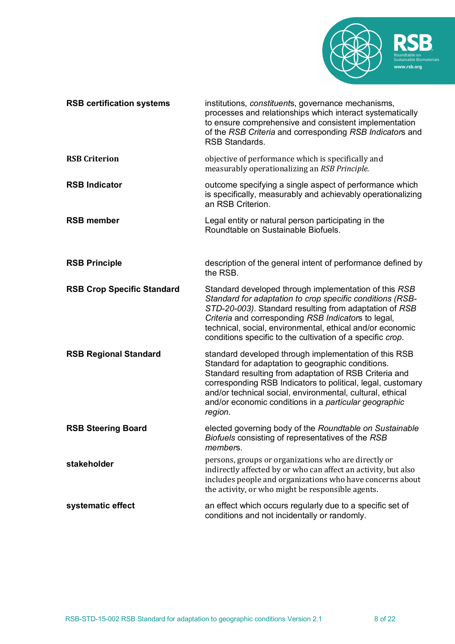

| <b>RSB certification systems</b>  | institutions, constituents, governance mechanisms,<br>processes and relationships which interact systematically<br>to ensure comprehensive and consistent implementation<br>of the RSB Criteria and corresponding RSB Indicators and<br><b>RSB Standards.</b>                                                                                                        |
|-----------------------------------|----------------------------------------------------------------------------------------------------------------------------------------------------------------------------------------------------------------------------------------------------------------------------------------------------------------------------------------------------------------------|
| <b>RSB Criterion</b>              | objective of performance which is specifically and<br>measurably operationalizing an RSB Principle.                                                                                                                                                                                                                                                                  |
| <b>RSB Indicator</b>              | outcome specifying a single aspect of performance which<br>is specifically, measurably and achievably operationalizing<br>an RSB Criterion.                                                                                                                                                                                                                          |
| <b>RSB member</b>                 | Legal entity or natural person participating in the<br>Roundtable on Sustainable Biofuels.                                                                                                                                                                                                                                                                           |
| <b>RSB Principle</b>              | description of the general intent of performance defined by<br>the RSB.                                                                                                                                                                                                                                                                                              |
| <b>RSB Crop Specific Standard</b> | Standard developed through implementation of this RSB<br>Standard for adaptation to crop specific conditions (RSB-<br>STD-20-003). Standard resulting from adaptation of RSB<br>Criteria and corresponding RSB Indicators to legal,<br>technical, social, environmental, ethical and/or economic<br>conditions specific to the cultivation of a specific crop.       |
| <b>RSB Regional Standard</b>      | standard developed through implementation of this RSB<br>Standard for adaptation to geographic conditions.<br>Standard resulting from adaptation of RSB Criteria and<br>corresponding RSB Indicators to political, legal, customary<br>and/or technical social, environmental, cultural, ethical<br>and/or economic conditions in a particular geographic<br>region. |
| <b>RSB Steering Board</b>         | elected governing body of the Roundtable on Sustainable<br>Biofuels consisting of representatives of the RSB<br>members.                                                                                                                                                                                                                                             |
| stakeholder                       | persons, groups or organizations who are directly or<br>indirectly affected by or who can affect an activity, but also<br>includes people and organizations who have concerns about<br>the activity, or who might be responsible agents.                                                                                                                             |
| systematic effect                 | an effect which occurs regularly due to a specific set of<br>conditions and not incidentally or randomly.                                                                                                                                                                                                                                                            |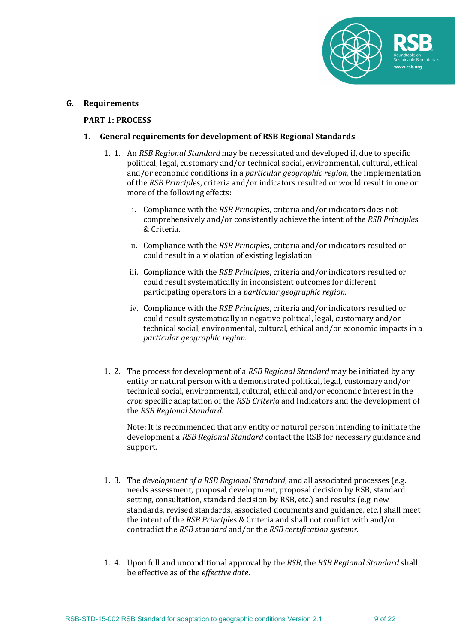

#### **G. Requirements**

#### **PART 1: PROCESS**

#### 1. General requirements for development of RSB Regional Standards

- 1. 1. An *RSB Regional Standard* may be necessitated and developed if, due to specific political, legal, customary and/or technical social, environmental, cultural, ethical and/or economic conditions in a *particular geographic region*, the implementation of the *RSB Principles*, criteria and/or indicators resulted or would result in one or more of the following effects:
	- i. Compliance with the *RSB Principles*, criteria and/or indicators does not comprehensively and/or consistently achieve the intent of the *RSB Principles* & Criteria.
	- ii. Compliance with the *RSB Principles*, criteria and/or indicators resulted or could result in a violation of existing legislation.
	- iii. Compliance with the *RSB Principles*, criteria and/or indicators resulted or could result systematically in inconsistent outcomes for different participating operators in a *particular geographic region*.
	- iv. Compliance with the *RSB Principles*, criteria and/or indicators resulted or could result systematically in negative political, legal, customary and/or technical social, environmental, cultural, ethical and/or economic impacts in a *particular geographic region*.
- 1. 2. The process for development of a *RSB Regional Standard* may be initiated by any entity or natural person with a demonstrated political, legal, customary and/or technical social, environmental, cultural, ethical and/or economic interest in the *crop* specific adaptation of the *RSB Criteria* and Indicators and the development of the *RSB Regional Standard*.

Note: It is recommended that any entity or natural person intending to initiate the development a *RSB Regional Standard* contact the RSB for necessary guidance and support.

- 1. 3. The *development of a RSB Regional Standard*, and all associated processes (e.g. needs assessment, proposal development, proposal decision by RSB, standard setting, consultation, standard decision by RSB, etc.) and results (e.g. new standards, revised standards, associated documents and guidance, etc.) shall meet the intent of the *RSB Principles* & Criteria and shall not conflict with and/or contradict the *RSB* standard and/or the *RSB certification systems*.
- 1. 4. Upon full and unconditional approval by the *RSB*, the *RSB Regional Standard* shall be effective as of the *effective date*.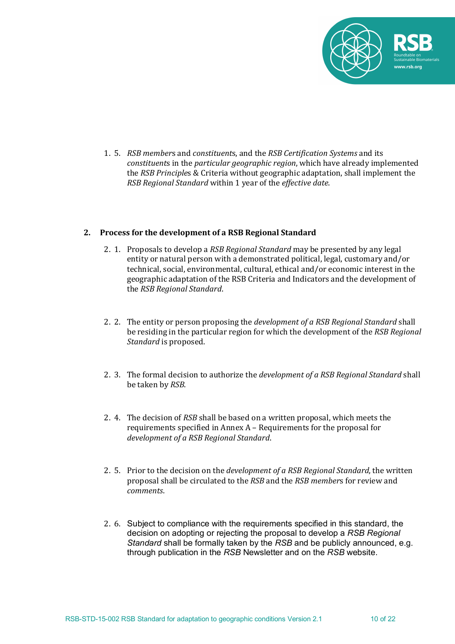

1. 5. *RSB members* and *constituents*, and the *RSB Certification Systems* and its *constituents* in the *particular geographic region*, which have already implemented the *RSB Principles* & Criteria without geographic adaptation, shall implement the *RSB Regional Standard* within 1 year of the *effective date*.

#### 2. Process for the development of a RSB Regional Standard

- 2. 1. Proposals to develop a RSB Regional Standard may be presented by any legal entity or natural person with a demonstrated political, legal, customary and/or technical, social, environmental, cultural, ethical and/or economic interest in the geographic adaptation of the RSB Criteria and Indicators and the development of the *RSB Regional Standard*.
- 2. 2. The entity or person proposing the *development of a RSB Regional Standard* shall be residing in the particular region for which the development of the *RSB Regional Standard* is proposed.
- 2. 3. The formal decision to authorize the *development of a RSB Regional Standard* shall be taken by *RSB*.
- 2. 4. The decision of *RSB* shall be based on a written proposal, which meets the requirements specified in Annex  $A -$  Requirements for the proposal for *development of a RSB Regional Standard*.
- 2. 5. Prior to the decision on the *development of a RSB Regional Standard*, the written proposal shall be circulated to the *RSB* and the *RSB members* for review and *comments*.
- 2. 6. Subject to compliance with the requirements specified in this standard, the decision on adopting or rejecting the proposal to develop a *RSB Regional Standard* shall be formally taken by the *RSB* and be publicly announced, e.g. through publication in the *RSB* Newsletter and on the *RSB* website.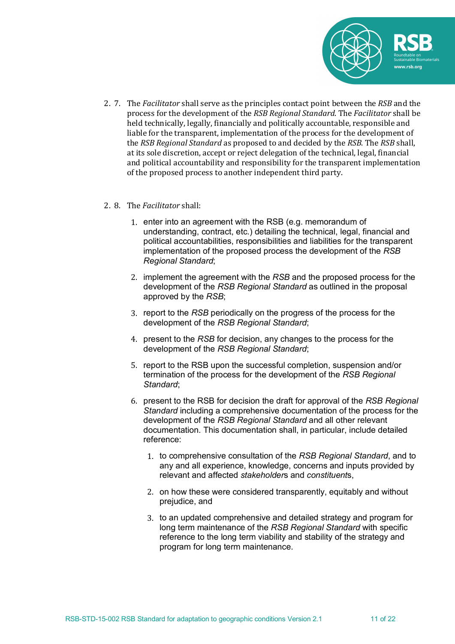

2. 7. The *Facilitator* shall serve as the principles contact point between the *RSB* and the process for the development of the *RSB Regional Standard*. The *Facilitator* shall be held technically, legally, financially and politically accountable, responsible and liable for the transparent, implementation of the process for the development of the *RSB Regional Standard* as proposed to and decided by the *RSB*. The *RSB* shall, at its sole discretion, accept or reject delegation of the technical, legal, financial and political accountability and responsibility for the transparent implementation of the proposed process to another independent third party.

### 2. 8. The *Facilitator* shall:

- 1. enter into an agreement with the RSB (e.g. memorandum of understanding, contract, etc.) detailing the technical, legal, financial and political accountabilities, responsibilities and liabilities for the transparent implementation of the proposed process the development of the *RSB Regional Standard*;
- 2. implement the agreement with the *RSB* and the proposed process for the development of the *RSB Regional Standard* as outlined in the proposal approved by the *RSB*;
- 3. report to the *RSB* periodically on the progress of the process for the development of the *RSB Regional Standard*;
- 4. present to the *RSB* for decision, any changes to the process for the development of the *RSB Regional Standard*;
- 5. report to the RSB upon the successful completion, suspension and/or termination of the process for the development of the *RSB Regional Standard*;
- 6. present to the RSB for decision the draft for approval of the *RSB Regional Standard* including a comprehensive documentation of the process for the development of the *RSB Regional Standard* and all other relevant documentation. This documentation shall, in particular, include detailed reference:
	- 1. to comprehensive consultation of the *RSB Regional Standard*, and to any and all experience, knowledge, concerns and inputs provided by relevant and affected *stakeholder*s and *constituent*s,
	- 2. on how these were considered transparently, equitably and without prejudice, and
	- 3. to an updated comprehensive and detailed strategy and program for long term maintenance of the *RSB Regional Standard* with specific reference to the long term viability and stability of the strategy and program for long term maintenance.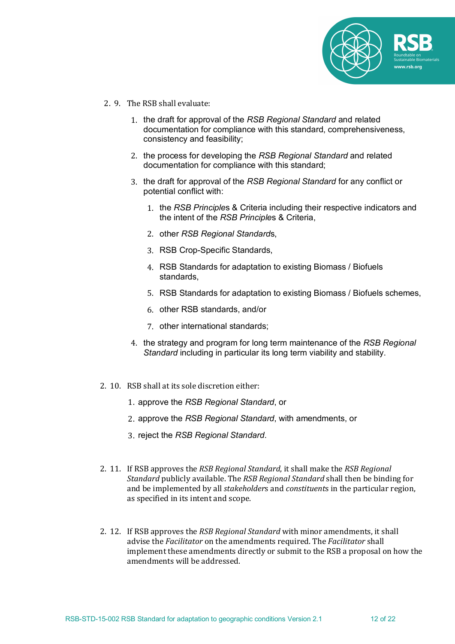

- 2. 9. The RSB shall evaluate:
	- 1. the draft for approval of the *RSB Regional Standard* and related documentation for compliance with this standard, comprehensiveness, consistency and feasibility;
	- 2. the process for developing the *RSB Regional Standard* and related documentation for compliance with this standard;
	- 3. the draft for approval of the *RSB Regional Standard* for any conflict or potential conflict with:
		- 1. the *RSB Principle*s & Criteria including their respective indicators and the intent of the *RSB Principle*s & Criteria,
		- 2. other *RSB Regional Standard*s,
		- 3. RSB Crop-Specific Standards,
		- 4. RSB Standards for adaptation to existing Biomass / Biofuels standards,
		- 5. RSB Standards for adaptation to existing Biomass / Biofuels schemes,
		- 6. other RSB standards, and/or
		- 7. other international standards;
	- 4. the strategy and program for long term maintenance of the *RSB Regional Standard* including in particular its long term viability and stability.
- 2. 10. RSB shall at its sole discretion either:
	- 1. approve the *RSB Regional Standard*, or
	- 2. approve the *RSB Regional Standard*, with amendments, or
	- 3. reject the *RSB Regional Standard*.
- 2. 11. If RSB approves the *RSB Regional Standard*, it shall make the *RSB Regional Standard* publicly available. The *RSB Regional Standard* shall then be binding for and be implemented by all *stakeholders* and *constituents* in the particular region, as specified in its intent and scope.
- 2. 12. If RSB approves the *RSB Regional Standard* with minor amendments, it shall advise the *Facilitator* on the amendments required. The *Facilitator* shall implement these amendments directly or submit to the RSB a proposal on how the amendments will be addressed.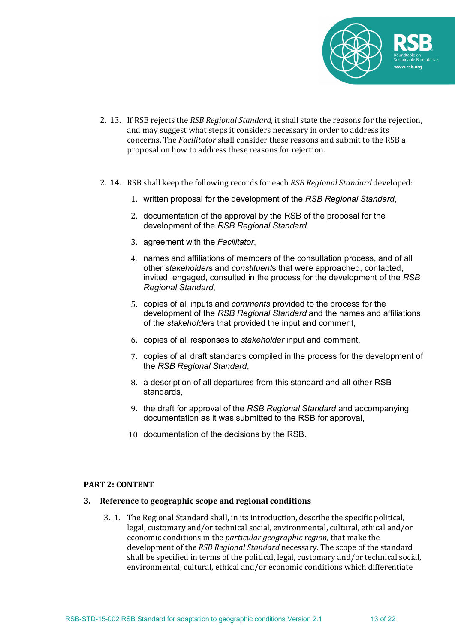

- 2. 13. If RSB rejects the *RSB Regional Standard*, it shall state the reasons for the rejection, and may suggest what steps it considers necessary in order to address its concerns. The *Facilitator* shall consider these reasons and submit to the RSB a proposal on how to address these reasons for rejection.
- 2. 14. RSB shall keep the following records for each *RSB Regional Standard* developed:
	- 1. written proposal for the development of the *RSB Regional Standard*,
	- 2. documentation of the approval by the RSB of the proposal for the development of the *RSB Regional Standard*.
	- 3. agreement with the *Facilitator*,
	- 4. names and affiliations of members of the consultation process, and of all other *stakeholder*s and *constituent*s that were approached, contacted, invited, engaged, consulted in the process for the development of the *RSB Regional Standard*,
	- 5. copies of all inputs and *comments* provided to the process for the development of the *RSB Regional Standard* and the names and affiliations of the *stakeholder*s that provided the input and comment,
	- 6. copies of all responses to *stakeholder* input and comment,
	- 7. copies of all draft standards compiled in the process for the development of the *RSB Regional Standard*,
	- 8. a description of all departures from this standard and all other RSB standards,
	- 9. the draft for approval of the *RSB Regional Standard* and accompanying documentation as it was submitted to the RSB for approval,
	- 10. documentation of the decisions by the RSB.

#### **PART 2: CONTENT**

#### **3. Reference to geographic scope and regional conditions**

3. 1. The Regional Standard shall, in its introduction, describe the specific political, legal, customary and/or technical social, environmental, cultural, ethical and/or economic conditions in the *particular geographic region*, that make the development of the *RSB Regional Standard* necessary. The scope of the standard shall be specified in terms of the political, legal, customary and/or technical social, environmental, cultural, ethical and/or economic conditions which differentiate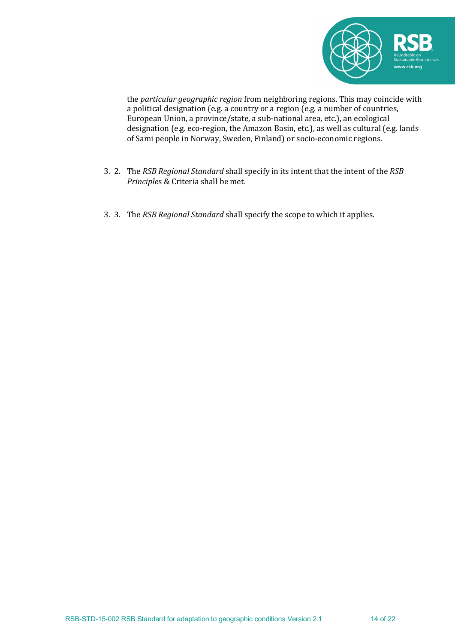

the *particular geographic region* from neighboring regions. This may coincide with a political designation (e.g. a country or a region  $(e.g., a$  number of countries, European Union, a province/state, a sub-national area, etc.), an ecological designation (e.g. eco-region, the Amazon Basin, etc.), as well as cultural (e.g. lands of Sami people in Norway, Sweden, Finland) or socio-economic regions.

- 3. 2. The *RSB Regional Standard* shall specify in its intent that the intent of the *RSB Principles* & Criteria shall be met.
- 3. 3. The *RSB Regional Standard* shall specify the scope to which it applies.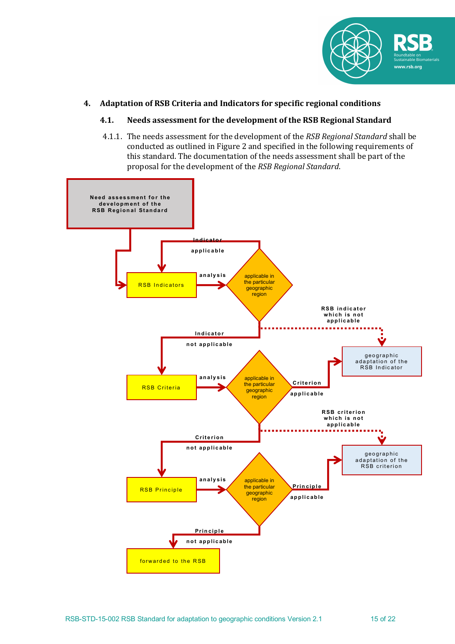

## **4. Adaptation of RSB Criteria and Indicators for specific regional conditions**

## **4.1.** Needs assessment for the development of the RSB Regional Standard

4.1.1. The needs assessment for the development of the *RSB Regional Standard* shall be conducted as outlined in Figure 2 and specified in the following requirements of this standard. The documentation of the needs assessment shall be part of the proposal for the development of the *RSB Regional Standard*.

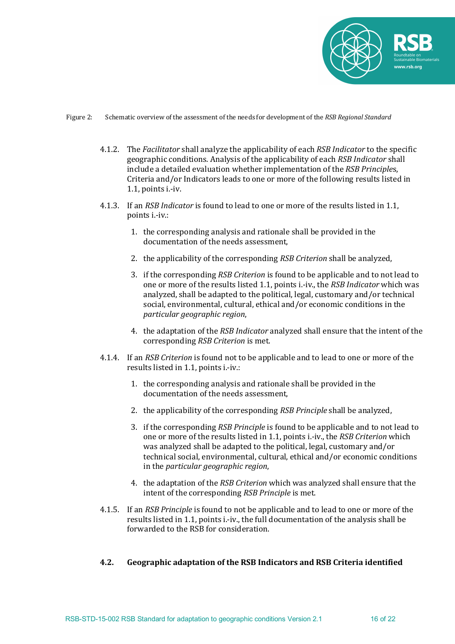

#### Figure 2: Schematic overview of the assessment of the needs for development of the *RSB Regional Standard*

- 4.1.2. The *Facilitator* shall analyze the applicability of each *RSB Indicator* to the specific geographic conditions. Analysis of the applicability of each *RSB Indicator* shall include a detailed evaluation whether implementation of the *RSB Principles*, Criteria and/or Indicators leads to one or more of the following results listed in  $1.1$ , points i.-iv.
- 4.1.3. If an *RSB Indicator* is found to lead to one or more of the results listed in 1.1, points i.-iv.:
	- 1. the corresponding analysis and rationale shall be provided in the documentation of the needs assessment.
	- 2. the applicability of the corresponding *RSB Criterion* shall be analyzed,
	- 3. if the corresponding *RSB Criterion* is found to be applicable and to not lead to one or more of the results listed 1.1, points i.-iv., the *RSB Indicator* which was analyzed, shall be adapted to the political, legal, customary and/or technical social, environmental, cultural, ethical and/or economic conditions in the *particular geographic region*,
	- 4. the adaptation of the *RSB Indicator* analyzed shall ensure that the intent of the corresponding *RSB Criterion* is met.
- 4.1.4. If an *RSB Criterion* is found not to be applicable and to lead to one or more of the results listed in 1.1, points i.-iv.:
	- 1. the corresponding analysis and rationale shall be provided in the documentation of the needs assessment,
	- 2. the applicability of the corresponding *RSB Principle* shall be analyzed,
	- 3. if the corresponding *RSB Principle* is found to be applicable and to not lead to one or more of the results listed in 1.1, points i.-iv., the *RSB Criterion* which was analyzed shall be adapted to the political, legal, customary and/or technical social, environmental, cultural, ethical and/or economic conditions in the *particular geographic region*,
	- 4. the adaptation of the *RSB Criterion* which was analyzed shall ensure that the intent of the corresponding *RSB Principle* is met.
- 4.1.5. If an *RSB Principle* is found to not be applicable and to lead to one or more of the results listed in 1.1, points i.-iv., the full documentation of the analysis shall be forwarded to the RSB for consideration.

#### **4.2. Geographic adaptation of the RSB Indicators and RSB Criteria identified**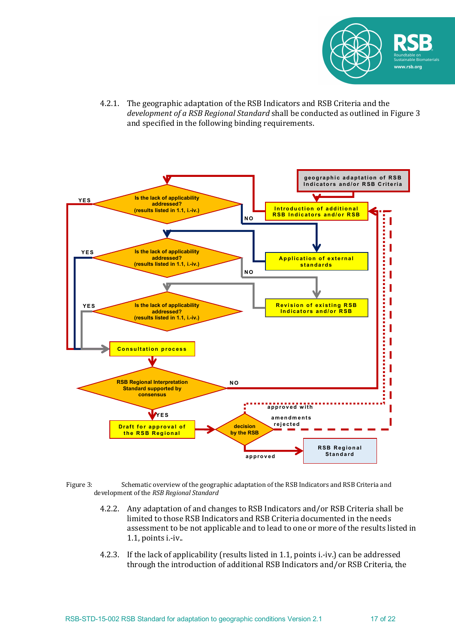

4.2.1. The geographic adaptation of the RSB Indicators and RSB Criteria and the *development of a RSB Regional Standard* shall be conducted as outlined in Figure 3 and specified in the following binding requirements.



- Figure 3: Schematic overview of the geographic adaptation of the RSB Indicators and RSB Criteria and development of the *RSB Regional Standard* 
	- 4.2.2. Any adaptation of and changes to RSB Indicators and/or RSB Criteria shall be limited to those RSB Indicators and RSB Criteria documented in the needs assessment to be not applicable and to lead to one or more of the results listed in  $1.1$ , points i.-iv..
	- 4.2.3. If the lack of applicability (results listed in 1.1, points i.-iv.) can be addressed through the introduction of additional RSB Indicators and/or RSB Criteria, the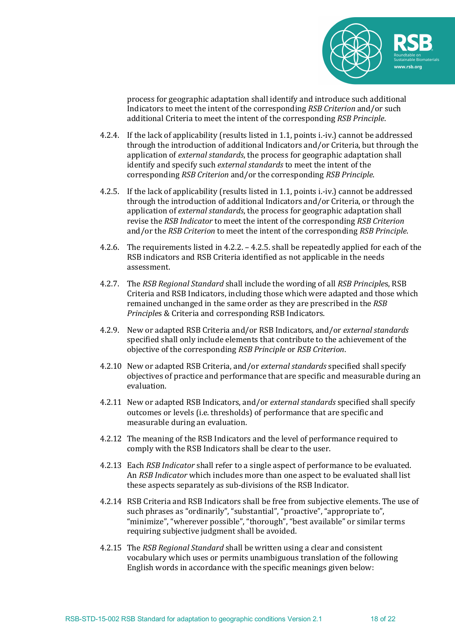

process for geographic adaptation shall identify and introduce such additional Indicators to meet the intent of the corresponding *RSB Criterion* and/or such additional Criteria to meet the intent of the corresponding *RSB Principle*.

- 4.2.4. If the lack of applicability (results listed in 1.1, points i.-iv.) cannot be addressed through the introduction of additional Indicators and/or Criteria, but through the application of *external standards*, the process for geographic adaptation shall identify and specify such *external standards* to meet the intent of the corresponding *RSB Criterion* and/or the corresponding *RSB Principle*.
- 4.2.5. If the lack of applicability (results listed in 1.1, points i.-iv.) cannot be addressed through the introduction of additional Indicators and/or Criteria, or through the application of *external standards*, the process for geographic adaptation shall revise the *RSB Indicator* to meet the intent of the corresponding *RSB Criterion* and/or the *RSB Criterion* to meet the intent of the corresponding *RSB Principle*.
- 4.2.6. The requirements listed in 4.2.2.  $-$  4.2.5. shall be repeatedly applied for each of the RSB indicators and RSB Criteria identified as not applicable in the needs assessment.
- 4.2.7. The *RSB Regional Standard* shall include the wording of all *RSB Principles*, RSB Criteria and RSB Indicators, including those which were adapted and those which remained unchanged in the same order as they are prescribed in the *RSB Principles* & Criteria and corresponding RSB Indicators.
- 4.2.9. New or adapted RSB Criteria and/or RSB Indicators, and/or *external standards* specified shall only include elements that contribute to the achievement of the objective of the corresponding *RSB Principle* or *RSB Criterion*.
- 4.2.10 New or adapted RSB Criteria, and/or *external standards* specified shall specify objectives of practice and performance that are specific and measurable during an evaluation.
- 4.2.11 New or adapted RSB Indicators, and/or external standards specified shall specify outcomes or levels (i.e. thresholds) of performance that are specific and measurable during an evaluation.
- 4.2.12 The meaning of the RSB Indicators and the level of performance required to comply with the RSB Indicators shall be clear to the user.
- 4.2.13 Each *RSB Indicator* shall refer to a single aspect of performance to be evaluated. An *RSB Indicator* which includes more than one aspect to be evaluated shall list these aspects separately as sub-divisions of the RSB Indicator.
- 4.2.14 RSB Criteria and RSB Indicators shall be free from subjective elements. The use of such phrases as "ordinarily", "substantial", "proactive", "appropriate to", "minimize", "wherever possible", "thorough", "best available" or similar terms requiring subjective judgment shall be avoided.
- 4.2.15 The *RSB Regional Standard* shall be written using a clear and consistent vocabulary which uses or permits unambiguous translation of the following English words in accordance with the specific meanings given below: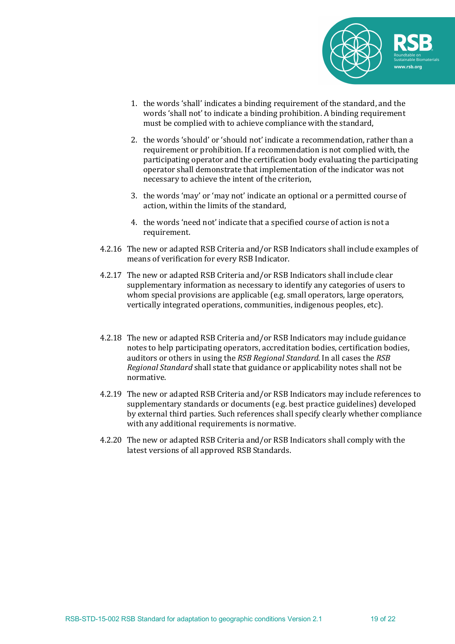

- 1. the words 'shall' indicates a binding requirement of the standard, and the words 'shall not' to indicate a binding prohibition. A binding requirement must be complied with to achieve compliance with the standard,
- 2. the words 'should' or 'should not' indicate a recommendation, rather than a requirement or prohibition. If a recommendation is not complied with, the participating operator and the certification body evaluating the participating operator shall demonstrate that implementation of the indicator was not necessary to achieve the intent of the criterion,
- 3. the words 'may' or 'may not' indicate an optional or a permitted course of action, within the limits of the standard.
- 4. the words 'need not' indicate that a specified course of action is not a requirement.
- 4.2.16 The new or adapted RSB Criteria and/or RSB Indicators shall include examples of means of verification for every RSB Indicator.
- 4.2.17 The new or adapted RSB Criteria and/or RSB Indicators shall include clear supplementary information as necessary to identify any categories of users to whom special provisions are applicable (e.g. small operators, large operators, vertically integrated operations, communities, indigenous peoples, etc).
- 4.2.18 The new or adapted RSB Criteria and/or RSB Indicators may include guidance notes to help participating operators, accreditation bodies, certification bodies. auditors or others in using the *RSB Regional Standard*. In all cases the *RSB Regional Standard* shall state that guidance or applicability notes shall not be normative.
- 4.2.19 The new or adapted RSB Criteria and/or RSB Indicators may include references to supplementary standards or documents (e.g. best practice guidelines) developed by external third parties. Such references shall specify clearly whether compliance with any additional requirements is normative.
- 4.2.20 The new or adapted RSB Criteria and/or RSB Indicators shall comply with the latest versions of all approved RSB Standards.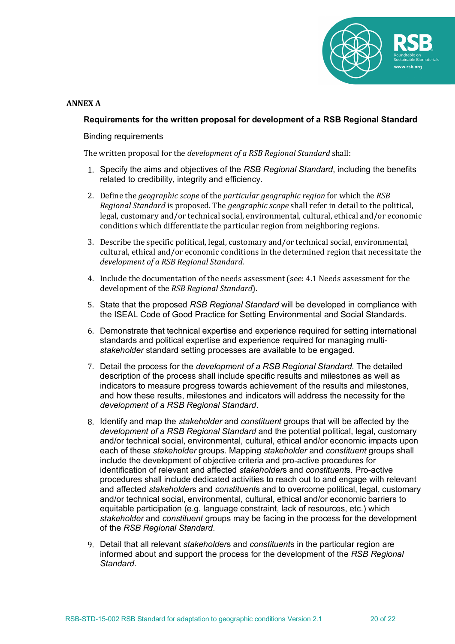

### **ANNEX A**

### **Requirements for the written proposal for development of a RSB Regional Standard**

Binding requirements

The written proposal for the *development of a RSB Regional Standard* shall:

- i. 1. Specify the aims and objectives of the *RSB Regional Standard*, including the benefits related to credibility, integrity and efficiency.
- 2. Define the *geographic scope* of the *particular geographic region* for which the *RSB Regional Standard* is proposed. The *geographic scope* shall refer in detail to the political, legal, customary and/or technical social, environmental, cultural, ethical and/or economic conditions which differentiate the particular region from neighboring regions.
- 3. Describe the specific political, legal, customary  $and/or$  technical social, environmental, cultural, ethical and/or economic conditions in the determined region that necessitate the *development of a RSB Regional Standard*.
- 4. Include the documentation of the needs assessment (see: 4.1 Needs assessment for the development of the *RSB Regional Standard*).
- i. 5. State that the proposed *RSB Regional Standard* will be developed in compliance with the ISEAL Code of Good Practice for Setting Environmental and Social Standards.
- i. 6. Demonstrate that technical expertise and experience required for setting international standards and political expertise and experience required for managing multi*stakeholder* standard setting processes are available to be engaged.
- i. 7. Detail the process for the *development of a RSB Regional Standard*. The detailed description of the process shall include specific results and milestones as well as indicators to measure progress towards achievement of the results and milestones, and how these results, milestones and indicators will address the necessity for the *development of a RSB Regional Standard*.
- i. 8. Identify and map the *stakeholder* and *constituent* groups that will be affected by the *development of a RSB Regional Standard* and the potential political, legal, customary and/or technical social, environmental, cultural, ethical and/or economic impacts upon each of these *stakeholder* groups. Mapping *stakeholder* and *constituent* groups shall include the development of objective criteria and pro-active procedures for identification of relevant and affected *stakeholder*s and *constituent*s. Pro-active procedures shall include dedicated activities to reach out to and engage with relevant and affected *stakeholder*s and *constituent*s and to overcome political, legal, customary and/or technical social, environmental, cultural, ethical and/or economic barriers to equitable participation (e.g. language constraint, lack of resources, etc.) which *stakeholder* and *constituent* groups may be facing in the process for the development of the *RSB Regional Standard*.
- i. 9. Detail that all relevant *stakeholder*s and *constituent*s in the particular region are informed about and support the process for the development of the *RSB Regional Standard*.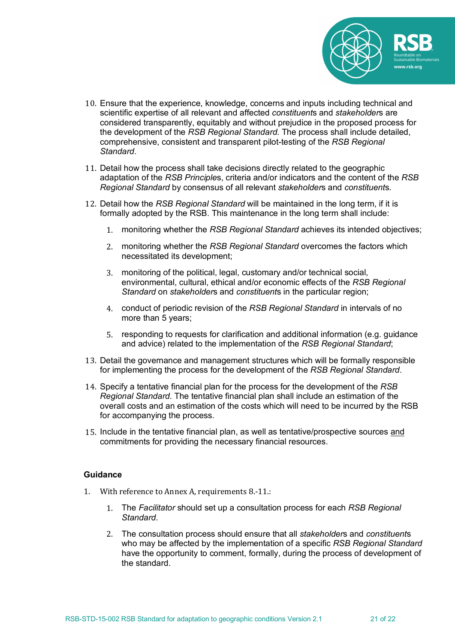

- 10. Ensure that the experience, knowledge, concerns and inputs including technical and scientific expertise of all relevant and affected *constituent*s and *stakeholder*s are considered transparently, equitably and without prejudice in the proposed process for the development of the *RSB Regional Standard*. The process shall include detailed, comprehensive, consistent and transparent pilot-testing of the *RSB Regional Standard*.
- 11. Detail how the process shall take decisions directly related to the geographic adaptation of the *RSB Principle*s, criteria and/or indicators and the content of the *RSB Regional Standard* by consensus of all relevant *stakeholder*s and *constituent*s.
- 12. Detail how the *RSB Regional Standard* will be maintained in the long term, if it is formally adopted by the RSB. This maintenance in the long term shall include:
	- 1. monitoring whether the *RSB Regional Standard* achieves its intended objectives;
	- 2. monitoring whether the *RSB Regional Standard* overcomes the factors which necessitated its development;
	- 3. monitoring of the political, legal, customary and/or technical social, environmental, cultural, ethical and/or economic effects of the *RSB Regional Standard* on *stakeholder*s and *constituent*s in the particular region;
	- 4. conduct of periodic revision of the *RSB Regional Standard* in intervals of no more than 5 years;
	- 5. responding to requests for clarification and additional information (e.g. guidance and advice) related to the implementation of the *RSB Regional Standard*;
- 13. Detail the governance and management structures which will be formally responsible for implementing the process for the development of the *RSB Regional Standard*.
- 14. Specify a tentative financial plan for the process for the development of the *RSB Regional Standard*. The tentative financial plan shall include an estimation of the overall costs and an estimation of the costs which will need to be incurred by the RSB for accompanying the process.
- 15. Include in the tentative financial plan, as well as tentative/prospective sources and commitments for providing the necessary financial resources.

## **Guidance**

- 1. With reference to Annex A, requirements 8.-11.:
	- 1. The *Facilitator* should set up a consultation process for each *RSB Regional Standard*.
	- 2. The consultation process should ensure that all *stakeholder*s and *constituent*s who may be affected by the implementation of a specific *RSB Regional Standard* have the opportunity to comment, formally, during the process of development of the standard.